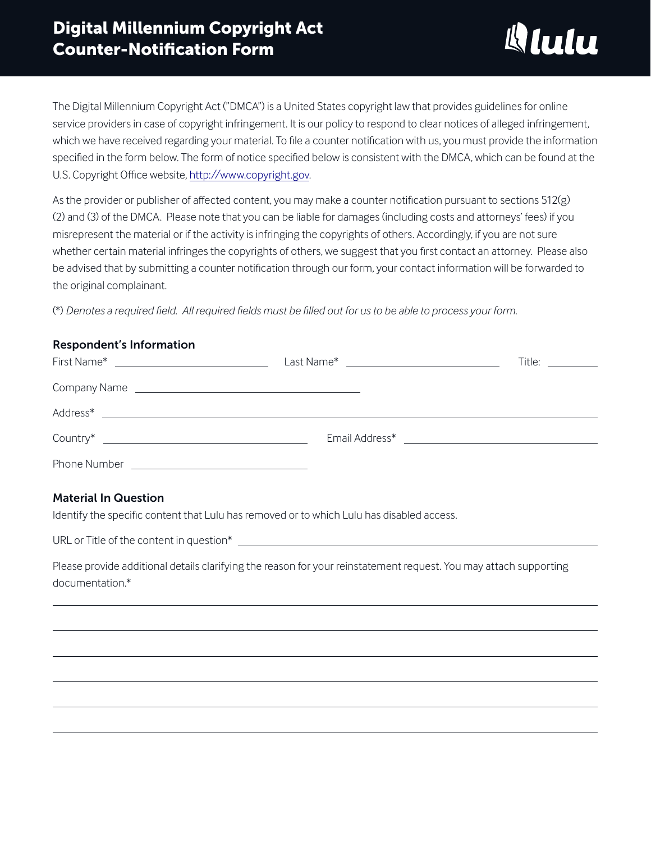

The Digital Millennium Copyright Act ("DMCA") is a United States copyright law that provides guidelines for online service providers in case of copyright infringement. It is our policy to respond to clear notices of alleged infringement, which we have received regarding your material. To file a counter notification with us, you must provide the information specified in the form below. The form of notice specified below is consistent with the DMCA, which can be found at the U.S. Copyright Office website, [http://www.copyright.gov.](http://www.copyright.gov)

As the provider or publisher of affected content, you may make a counter notification pursuant to sections 512(g) (2) and (3) of the DMCA. Please note that you can be liable for damages (including costs and attorneys' fees) if you misrepresent the material or if the activity is infringing the copyrights of others. Accordingly, if you are not sure whether certain material infringes the copyrights of others, we suggest that you first contact an attorney. Please also be advised that by submitting a counter notification through our form, your contact information will be forwarded to the original complainant.

(\*) *Denotes a required field. All required fields must be filled out for us to be able to process your form.* 

# Respondent's Information

| First Name* <u>______________________________</u>                         |                                                                                                                                                                                                                                | Title: The Contract of the Contract of the Contract of the Contract of the Contract of the Contract of the Contract of the Contract of the Contract of the Contract of the Contract of the Contract of the Contract of the Con |
|---------------------------------------------------------------------------|--------------------------------------------------------------------------------------------------------------------------------------------------------------------------------------------------------------------------------|--------------------------------------------------------------------------------------------------------------------------------------------------------------------------------------------------------------------------------|
|                                                                           |                                                                                                                                                                                                                                |                                                                                                                                                                                                                                |
|                                                                           |                                                                                                                                                                                                                                |                                                                                                                                                                                                                                |
|                                                                           | Email Address* and the state of the state of the state of the state of the state of the state of the state of the state of the state of the state of the state of the state of the state of the state of the state of the stat |                                                                                                                                                                                                                                |
| Phone Number<br><u> 1989 - John Stein, Amerikaansk politiker (* 1958)</u> |                                                                                                                                                                                                                                |                                                                                                                                                                                                                                |

# Material In Question

Identify the specific content that Lulu has removed or to which Lulu has disabled access.

URL or Title of the content in question\*

Please provide additional details clarifying the reason for your reinstatement request. You may attach supporting documentation.\*